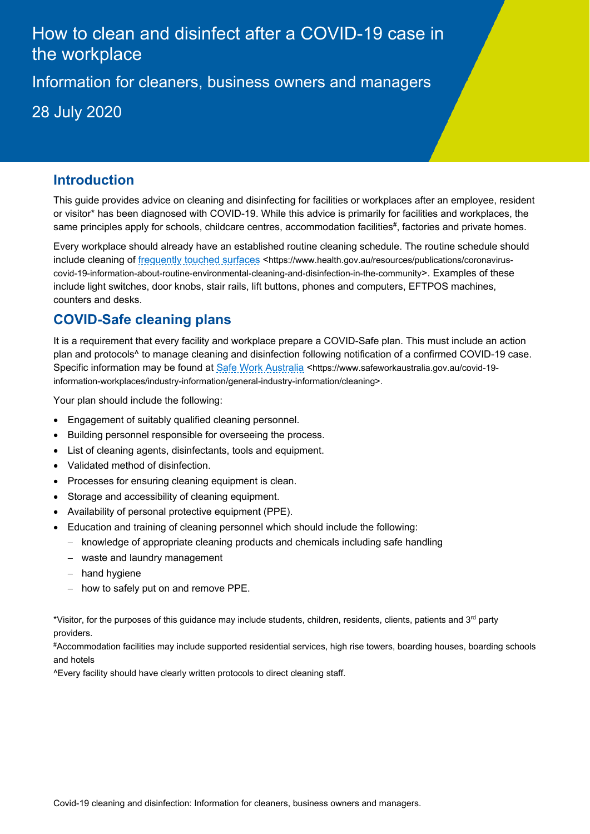# How to clean and disinfect after a COVID-19 case in the workplace

Information for cleaners, business owners and managers 28 July 2020

### **Introduction**

This guide provides advice on cleaning and disinfecting for facilities or workplaces after an employee, resident or visitor\* has been diagnosed with COVID-19. While this advice is primarily for facilities and workplaces, the same principles apply for schools, childcare centres, accommodation facilities#, factories and private homes.

Every workplace should already have an established routine cleaning schedule. The routine schedule should include cleaning of frequently touched surfaces <https://www.health.gov.au/resources/publications/coronaviruscovid-19-information-about-routine-environmental-cleaning-and-disinfection-in-the-community>. Examples of these include light switches, door knobs, stair rails, lift buttons, phones and computers, EFTPOS machines, counters and desks.

## **COVID-Safe cleaning plans**

It is a requirement that every facility and workplace prepare a COVID-Safe plan. This must include an action plan and protocols^ to manage cleaning and disinfection following notification of a confirmed COVID-19 case. Specific information may be found at Safe Work Australia <https://www.safeworkaustralia.gov.au/covid-19 information-workplaces/industry-information/general-industry-information/cleaning>.

Your plan should include the following:

- Engagement of suitably qualified cleaning personnel.
- Building personnel responsible for overseeing the process.
- List of cleaning agents, disinfectants, tools and equipment.
- Validated method of disinfection.
- Processes for ensuring cleaning equipment is clean.
- Storage and accessibility of cleaning equipment.
- Availability of personal protective equipment (PPE).
- Education and training of cleaning personnel which should include the following:
	- knowledge of appropriate cleaning products and chemicals including safe handling
	- waste and laundry management
	- $-$  hand hygiene
	- $-$  how to safely put on and remove PPE.

\*Visitor, for the purposes of this guidance may include students, children, residents, clients, patients and 3<sup>rd</sup> party providers.

#Accommodation facilities may include supported residential services, high rise towers, boarding houses, boarding schools and hotels

^Every facility should have clearly written protocols to direct cleaning staff.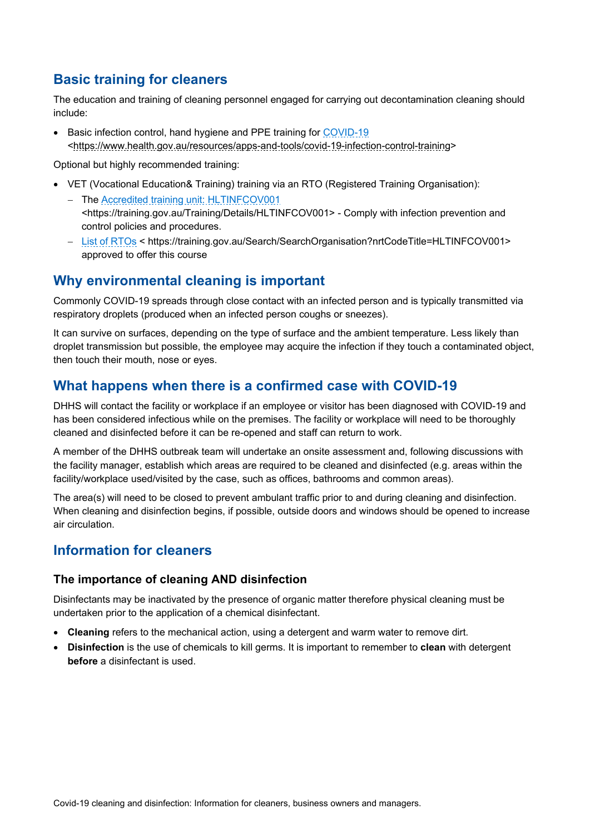## **Basic training for cleaners**

The education and training of cleaning personnel engaged for carrying out decontamination cleaning should include:

 Basic infection control, hand hygiene and PPE training for COVID-19 <https://www.health.gov.au/resources/apps-and-tools/covid-19-infection-control-training>

Optional but highly recommended training:

- VET (Vocational Education& Training) training via an RTO (Registered Training Organisation):
	- The Accredited training unit: HLTINFCOV001 <https://training.gov.au/Training/Details/HLTINFCOV001> - Comply with infection prevention and control policies and procedures.
	- List of RTOs < https://training.gov.au/Search/SearchOrganisation?nrtCodeTitle=HLTINFCOV001> approved to offer this course

### **Why environmental cleaning is important**

Commonly COVID-19 spreads through close contact with an infected person and is typically transmitted via respiratory droplets (produced when an infected person coughs or sneezes).

It can survive on surfaces, depending on the type of surface and the ambient temperature. Less likely than droplet transmission but possible, the employee may acquire the infection if they touch a contaminated object, then touch their mouth, nose or eyes.

## **What happens when there is a confirmed case with COVID-19**

DHHS will contact the facility or workplace if an employee or visitor has been diagnosed with COVID-19 and has been considered infectious while on the premises. The facility or workplace will need to be thoroughly cleaned and disinfected before it can be re-opened and staff can return to work.

A member of the DHHS outbreak team will undertake an onsite assessment and, following discussions with the facility manager, establish which areas are required to be cleaned and disinfected (e.g. areas within the facility/workplace used/visited by the case, such as offices, bathrooms and common areas).

The area(s) will need to be closed to prevent ambulant traffic prior to and during cleaning and disinfection. When cleaning and disinfection begins, if possible, outside doors and windows should be opened to increase air circulation.

## **Information for cleaners**

#### **The importance of cleaning AND disinfection**

Disinfectants may be inactivated by the presence of organic matter therefore physical cleaning must be undertaken prior to the application of a chemical disinfectant.

- **Cleaning** refers to the mechanical action, using a detergent and warm water to remove dirt.
- **Disinfection** is the use of chemicals to kill germs. It is important to remember to **clean** with detergent **before** a disinfectant is used.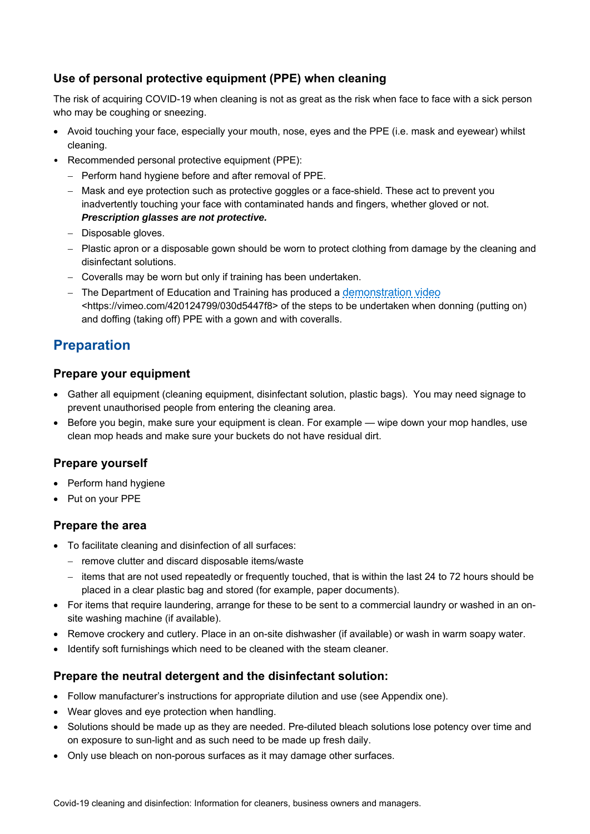### **Use of personal protective equipment (PPE) when cleaning**

The risk of acquiring COVID-19 when cleaning is not as great as the risk when face to face with a sick person who may be coughing or sneezing.

- Avoid touching your face, especially your mouth, nose, eyes and the PPE (i.e. mask and eyewear) whilst cleaning.
- Recommended personal protective equipment (PPE):
	- Perform hand hygiene before and after removal of PPE.
	- Mask and eye protection such as protective goggles or a face-shield. These act to prevent you inadvertently touching your face with contaminated hands and fingers, whether gloved or not. *Prescription glasses are not protective.*
	- Disposable gloves.
	- Plastic apron or a disposable gown should be worn to protect clothing from damage by the cleaning and disinfectant solutions.
	- Coveralls may be worn but only if training has been undertaken.
	- The Department of Education and Training has produced a demonstration video <https://vimeo.com/420124799/030d5447f8> of the steps to be undertaken when donning (putting on) and doffing (taking off) PPE with a gown and with coveralls.

## **Preparation**

#### **Prepare your equipment**

- Gather all equipment (cleaning equipment, disinfectant solution, plastic bags). You may need signage to prevent unauthorised people from entering the cleaning area.
- Before you begin, make sure your equipment is clean. For example wipe down your mop handles, use clean mop heads and make sure your buckets do not have residual dirt.

#### **Prepare yourself**

- Perform hand hygiene
- Put on your PPE

#### **Prepare the area**

- To facilitate cleaning and disinfection of all surfaces:
	- remove clutter and discard disposable items/waste
	- $-$  items that are not used repeatedly or frequently touched, that is within the last 24 to 72 hours should be placed in a clear plastic bag and stored (for example, paper documents).
- For items that require laundering, arrange for these to be sent to a commercial laundry or washed in an onsite washing machine (if available).
- Remove crockery and cutlery. Place in an on-site dishwasher (if available) or wash in warm soapy water.
- Identify soft furnishings which need to be cleaned with the steam cleaner.

#### **Prepare the neutral detergent and the disinfectant solution:**

- Follow manufacturer's instructions for appropriate dilution and use (see Appendix one).
- Wear gloves and eye protection when handling.
- Solutions should be made up as they are needed. Pre-diluted bleach solutions lose potency over time and on exposure to sun-light and as such need to be made up fresh daily.
- Only use bleach on non-porous surfaces as it may damage other surfaces.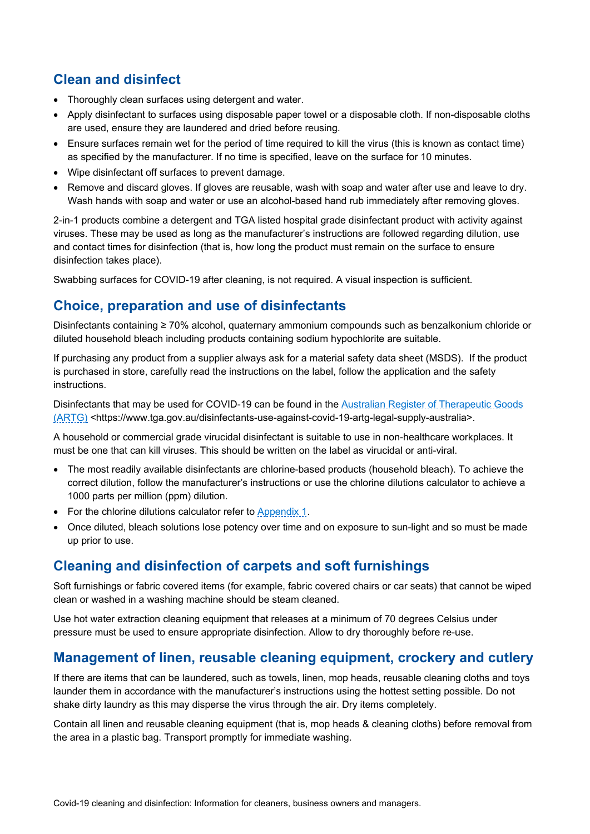## **Clean and disinfect**

- Thoroughly clean surfaces using detergent and water.
- Apply disinfectant to surfaces using disposable paper towel or a disposable cloth. If non-disposable cloths are used, ensure they are laundered and dried before reusing.
- Ensure surfaces remain wet for the period of time required to kill the virus (this is known as contact time) as specified by the manufacturer. If no time is specified, leave on the surface for 10 minutes.
- Wipe disinfectant off surfaces to prevent damage.
- Remove and discard gloves. If gloves are reusable, wash with soap and water after use and leave to dry. Wash hands with soap and water or use an alcohol-based hand rub immediately after removing gloves.

2-in-1 products combine a detergent and TGA listed hospital grade disinfectant product with activity against viruses. These may be used as long as the manufacturer's instructions are followed regarding dilution, use and contact times for disinfection (that is, how long the product must remain on the surface to ensure disinfection takes place).

Swabbing surfaces for COVID-19 after cleaning, is not required. A visual inspection is sufficient.

## **Choice, preparation and use of disinfectants**

Disinfectants containing ≥ 70% alcohol, quaternary ammonium compounds such as benzalkonium chloride or diluted household bleach including products containing sodium hypochlorite are suitable.

If purchasing any product from a supplier always ask for a material safety data sheet (MSDS). If the product is purchased in store, carefully read the instructions on the label, follow the application and the safety instructions.

Disinfectants that may be used for COVID-19 can be found in the Australian Register of Therapeutic Goods (ARTG) <https://www.tga.gov.au/disinfectants-use-against-covid-19-artg-legal-supply-australia>.

A household or commercial grade virucidal disinfectant is suitable to use in non-healthcare workplaces. It must be one that can kill viruses. This should be written on the label as virucidal or anti-viral.

- The most readily available disinfectants are chlorine-based products (household bleach). To achieve the correct dilution, follow the manufacturer's instructions or use the chlorine dilutions calculator to achieve a 1000 parts per million (ppm) dilution.
- For the chlorine dilutions calculator refer to Appendix 1.
- Once diluted, bleach solutions lose potency over time and on exposure to sun-light and so must be made up prior to use.

## **Cleaning and disinfection of carpets and soft furnishings**

Soft furnishings or fabric covered items (for example, fabric covered chairs or car seats) that cannot be wiped clean or washed in a washing machine should be steam cleaned.

Use hot water extraction cleaning equipment that releases at a minimum of 70 degrees Celsius under pressure must be used to ensure appropriate disinfection. Allow to dry thoroughly before re-use.

## **Management of linen, reusable cleaning equipment, crockery and cutlery**

If there are items that can be laundered, such as towels, linen, mop heads, reusable cleaning cloths and toys launder them in accordance with the manufacturer's instructions using the hottest setting possible. Do not shake dirty laundry as this may disperse the virus through the air. Dry items completely.

Contain all linen and reusable cleaning equipment (that is, mop heads & cleaning cloths) before removal from the area in a plastic bag. Transport promptly for immediate washing.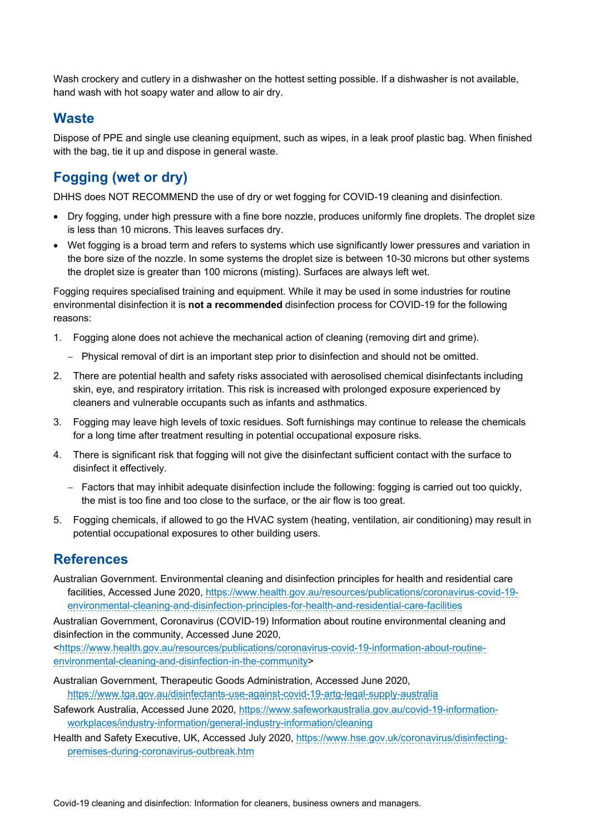Wash crockery and cutlery in a dishwasher on the hottest setting possible. If a dishwasher is not available, hand wash with hot soapy water and allow to air dry.

### **Waste**

Dispose of PPE and single use cleaning equipment, such as wipes, in a leak proof plastic bag. When finished with the bag, tie it up and dispose in general waste.

## **Fogging (wet or dry)**

DHHS does NOT RECOMMEND the use of dry or wet fogging for COVID-19 cleaning and disinfection.

- Dry fogging, under high pressure with a fine bore nozzle, produces uniformly fine droplets. The droplet size is less than 10 microns. This leaves surfaces dry.
- Wet fogging is a broad term and refers to systems which use significantly lower pressures and variation in the bore size of the nozzle. In some systems the droplet size is between 10-30 microns but other systems the droplet size is greater than 100 microns (misting). Surfaces are always left wet.

Fogging requires specialised training and equipment. While it may be used in some industries for routine environmental disinfection it is **not a recommended** disinfection process for COVID-19 for the following reasons:

- 1. Fogging alone does not achieve the mechanical action of cleaning (removing dirt and grime).
	- Physical removal of dirt is an important step prior to disinfection and should not be omitted.
- 2. There are potential health and safety risks associated with aerosolised chemical disinfectants including skin, eye, and respiratory irritation. This risk is increased with prolonged exposure experienced by cleaners and vulnerable occupants such as infants and asthmatics.
- 3. Fogging may leave high levels of toxic residues. Soft furnishings may continue to release the chemicals for a long time after treatment resulting in potential occupational exposure risks.
- 4. There is significant risk that fogging will not give the disinfectant sufficient contact with the surface to disinfect it effectively.
	- $-$  Factors that may inhibit adequate disinfection include the following: fogging is carried out too quickly, the mist is too fine and too close to the surface, or the air flow is too great.
- 5. Fogging chemicals, if allowed to go the HVAC system (heating, ventilation, air conditioning) may result in potential occupational exposures to other building users.

## **References**

Australian Government. Environmental cleaning and disinfection principles for health and residential care facilities, Accessed June 2020, https://www.health.gov.au/resources/publications/coronavirus-covid-19 environmental-cleaning-and-disinfection-principles-for-health-and-residential-care-facilities

Australian Government, Coronavirus (COVID-19) Information about routine environmental cleaning and disinfection in the community, Accessed June 2020,

<https://www.health.gov.au/resources/publications/coronavirus-covid-19-information-about-routineenvironmental-cleaning-and-disinfection-in-the-community>

Australian Government, Therapeutic Goods Administration, Accessed June 2020,

https://www.tga.gov.au/disinfectants-use-against-covid-19-artg-legal-supply-australia

- Safework Australia, Accessed June 2020, https://www.safeworkaustralia.gov.au/covid-19-informationworkplaces/industry-information/general-industry-information/cleaning
- Health and Safety Executive, UK, Accessed July 2020, https://www.hse.gov.uk/coronavirus/disinfectingpremises-during-coronavirus-outbreak.htm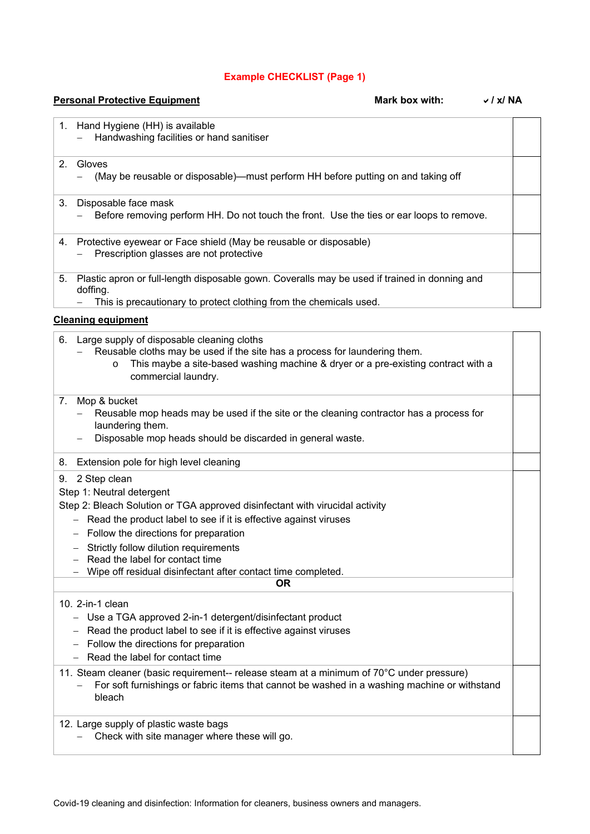#### **Example CHECKLIST (Page 1)**

#### **Personal Protective Equipment Mark box with:**  $\sqrt{X}$  NA

|                           | Hand Hygiene (HH) is available<br>1.<br>Handwashing facilities or hand sanitiser                                                                                                                                                                                                                                                                                                                           |  |  |  |  |  |  |
|---------------------------|------------------------------------------------------------------------------------------------------------------------------------------------------------------------------------------------------------------------------------------------------------------------------------------------------------------------------------------------------------------------------------------------------------|--|--|--|--|--|--|
| 2.                        | Gloves<br>(May be reusable or disposable)—must perform HH before putting on and taking off                                                                                                                                                                                                                                                                                                                 |  |  |  |  |  |  |
| 3.                        | Disposable face mask<br>Before removing perform HH. Do not touch the front. Use the ties or ear loops to remove.                                                                                                                                                                                                                                                                                           |  |  |  |  |  |  |
| 4.                        | Protective eyewear or Face shield (May be reusable or disposable)<br>Prescription glasses are not protective                                                                                                                                                                                                                                                                                               |  |  |  |  |  |  |
| 5.                        | Plastic apron or full-length disposable gown. Coveralls may be used if trained in donning and<br>doffing.<br>This is precautionary to protect clothing from the chemicals used.                                                                                                                                                                                                                            |  |  |  |  |  |  |
| <b>Cleaning equipment</b> |                                                                                                                                                                                                                                                                                                                                                                                                            |  |  |  |  |  |  |
| 6.                        | Large supply of disposable cleaning cloths<br>Reusable cloths may be used if the site has a process for laundering them.<br>This maybe a site-based washing machine & dryer or a pre-existing contract with a<br>$\circ$<br>commercial laundry.                                                                                                                                                            |  |  |  |  |  |  |
| 7.                        | Mop & bucket<br>Reusable mop heads may be used if the site or the cleaning contractor has a process for<br>laundering them.<br>Disposable mop heads should be discarded in general waste.                                                                                                                                                                                                                  |  |  |  |  |  |  |
| 8.                        | Extension pole for high level cleaning                                                                                                                                                                                                                                                                                                                                                                     |  |  |  |  |  |  |
| 9.                        | 2 Step clean<br>Step 1: Neutral detergent<br>Step 2: Bleach Solution or TGA approved disinfectant with virucidal activity<br>- Read the product label to see if it is effective against viruses<br>- Follow the directions for preparation<br>Strictly follow dilution requirements<br>$-$<br>Read the label for contact time<br>Wipe off residual disinfectant after contact time completed.<br><b>OR</b> |  |  |  |  |  |  |
|                           | 10. 2-in-1 clean<br>Use a TGA approved 2-in-1 detergent/disinfectant product<br>Read the product label to see if it is effective against viruses<br>$\qquad \qquad -$<br>Follow the directions for preparation<br>$\qquad \qquad -$<br>Read the label for contact time                                                                                                                                     |  |  |  |  |  |  |
|                           | 11. Steam cleaner (basic requirement-- release steam at a minimum of 70°C under pressure)<br>For soft furnishings or fabric items that cannot be washed in a washing machine or withstand<br>bleach                                                                                                                                                                                                        |  |  |  |  |  |  |
|                           | 12. Large supply of plastic waste bags<br>Check with site manager where these will go.                                                                                                                                                                                                                                                                                                                     |  |  |  |  |  |  |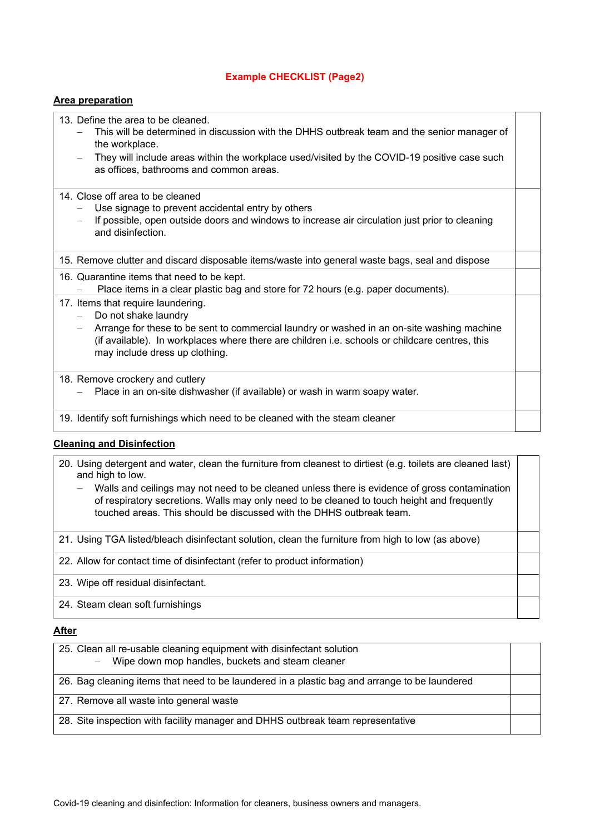#### **Example CHECKLIST (Page2)**

#### **Area preparation**

13. Define the area to be cleaned.

- This will be determined in discussion with the DHHS outbreak team and the senior manager of the workplace.
- They will include areas within the workplace used/visited by the COVID-19 positive case such as offices, bathrooms and common areas.

#### 14. Close off area to be cleaned

- Use signage to prevent accidental entry by others
- If possible, open outside doors and windows to increase air circulation just prior to cleaning and disinfection.
- 15. Remove clutter and discard disposable items/waste into general waste bags, seal and dispose
- 16. Quarantine items that need to be kept.
	- Place items in a clear plastic bag and store for 72 hours (e.g. paper documents).
- 17. Items that require laundering.
	- Do not shake laundry
	- Arrange for these to be sent to commercial laundry or washed in an on-site washing machine (if available). In workplaces where there are children i.e. schools or childcare centres, this may include dress up clothing.

18. Remove crockery and cutlery

- $-$  Place in an on-site dishwasher (if available) or wash in warm soapy water.
- 19. Identify soft furnishings which need to be cleaned with the steam cleaner

#### **Cleaning and Disinfection**

- 20. Using detergent and water, clean the furniture from cleanest to dirtiest (e.g. toilets are cleaned last) and high to low.
	- Walls and ceilings may not need to be cleaned unless there is evidence of gross contamination of respiratory secretions. Walls may only need to be cleaned to touch height and frequently touched areas. This should be discussed with the DHHS outbreak team.
- 21. Using TGA listed/bleach disinfectant solution, clean the furniture from high to low (as above)
- 22. Allow for contact time of disinfectant (refer to product information)
- 23. Wipe off residual disinfectant.
- 24. Steam clean soft furnishings

#### **After**

| 25. Clean all re-usable cleaning equipment with disinfectant solution                         |  |  |  |  |
|-----------------------------------------------------------------------------------------------|--|--|--|--|
| - Wipe down mop handles, buckets and steam cleaner                                            |  |  |  |  |
| 26. Bag cleaning items that need to be laundered in a plastic bag and arrange to be laundered |  |  |  |  |
| 27. Remove all waste into general waste                                                       |  |  |  |  |
| 28. Site inspection with facility manager and DHHS outbreak team representative               |  |  |  |  |